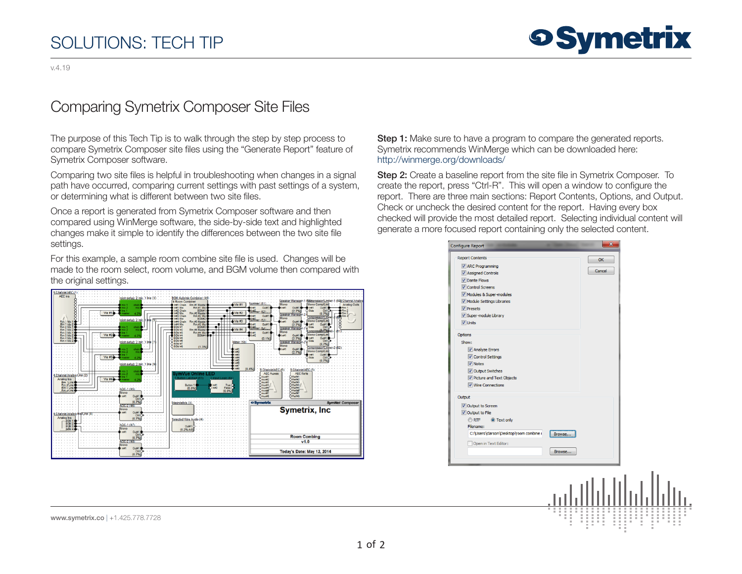## SOLUTIONS: TECH TIP

## Comparing Symetrix Composer Site Files

The purpose of this Tech Tip is to walk through the step by step process to compare Symetrix Composer site files using the "Generate Report" feature of Symetrix Composer software.

Comparing two site files is helpful in troubleshooting when changes in a signal path have occurred, comparing current settings with past settings of a system, or determining what is different between two site files.

Once a report is generated from Symetrix Composer software and then compared using WinMerge software, the side-by-side text and highlighted changes make it simple to identify the differences between the two site file settings.

For this example, a sample room combine site file is used. Changes will be made to the room select, room volume, and BGM volume then compared with the original settings.



Step 1: Make sure to have a program to compare the generated reports. Symetrix recommends WinMerge which can be downloaded here: <http://winmerge.org/downloads/>

Step 2: Create a baseline report from the site file in Symetrix Composer. To create the report, press "Ctrl-R". This will open a window to configure the report. There are three main sections: Report Contents, Options, and Output. Check or uncheck the desired content for the report. Having every box checked will provide the most detailed report. Selecting individual content will generate a more focused report containing only the selected content.

| <b>Configure Report</b>                                                                                                                                                                                                                                                                                                       |                  |                     | × |  |  |
|-------------------------------------------------------------------------------------------------------------------------------------------------------------------------------------------------------------------------------------------------------------------------------------------------------------------------------|------------------|---------------------|---|--|--|
| <b>Report Contents</b><br>ARC Programming<br>Assigned Controls<br>Dante Flows<br><b>V</b> Control Screens<br>Modules & Super-modules<br>Module Settings Libraries<br>$\sqrt{2}$ Presets<br>V Super-module Library<br>V Units<br>Options<br>Show:<br>Analyze Errors<br>Control Settings<br>$\sqrt{v}$ Notes<br>Output Switches |                  | <b>OK</b><br>Cancel |   |  |  |
| Picture and Text Objects<br><b>V</b> Wire Connections                                                                                                                                                                                                                                                                         |                  |                     |   |  |  |
| Output<br>Output to Screen<br>Output to File<br><b>ORTF</b><br>O Text only<br>Filename:<br>C: \Users \clarson \Desktop \room combine i<br>Open in Text Editor:                                                                                                                                                                | Browse<br>Browse |                     |   |  |  |
|                                                                                                                                                                                                                                                                                                                               |                  |                     |   |  |  |